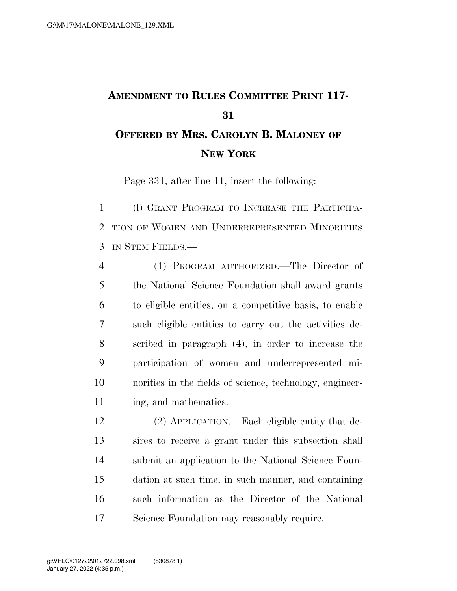## **AMENDMENT TO RULES COMMITTEE PRINT 117- OFFERED BY MRS. CAROLYN B. MALONEY OF NEW YORK**

Page 331, after line 11, insert the following:

 (l) GRANT PROGRAM TO INCREASE THE PARTICIPA- TION OF WOMEN AND UNDERREPRESENTED MINORITIES IN STEM FIELDS.—

 (1) PROGRAM AUTHORIZED.—The Director of the National Science Foundation shall award grants to eligible entities, on a competitive basis, to enable such eligible entities to carry out the activities de- scribed in paragraph (4), in order to increase the participation of women and underrepresented mi- norities in the fields of science, technology, engineer-ing, and mathematics.

 (2) APPLICATION.—Each eligible entity that de- sires to receive a grant under this subsection shall submit an application to the National Science Foun- dation at such time, in such manner, and containing such information as the Director of the National Science Foundation may reasonably require.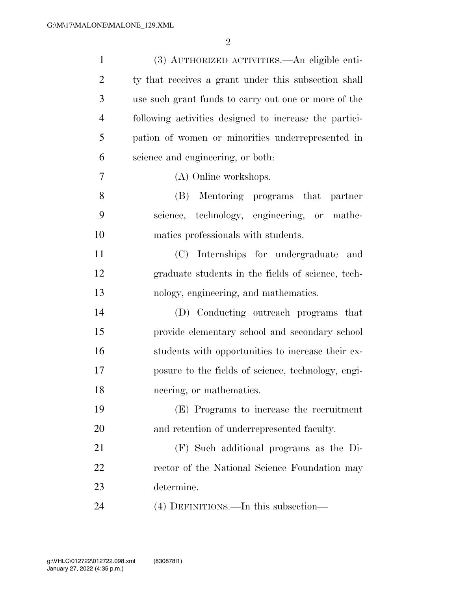| $\mathbf{1}$   | (3) AUTHORIZED ACTIVITIES.—An eligible enti-           |
|----------------|--------------------------------------------------------|
| $\overline{2}$ | ty that receives a grant under this subsection shall   |
| 3              | use such grant funds to carry out one or more of the   |
| $\overline{4}$ | following activities designed to increase the partici- |
| 5              | pation of women or minorities underrepresented in      |
| 6              | science and engineering, or both:                      |
| 7              | (A) Online workshops.                                  |
| 8              | (B) Mentoring programs that<br>partner                 |
| 9              | science, technology, engineering, or mathe-            |
| 10             | matics professionals with students.                    |
| 11             | Internships for undergraduate and<br>(C)               |
| 12             | graduate students in the fields of science, tech-      |
| 13             | nology, engineering, and mathematics.                  |
| 14             | (D) Conducting outreach programs that                  |
| 15             | provide elementary school and secondary school         |
| 16             | students with opportunities to increase their ex-      |
| 17             | posure to the fields of science, technology, engi-     |
| 18             | neering, or mathematics.                               |
| 19             | (E) Programs to increase the recruitment               |
| 20             | and retention of underrepresented faculty.             |
| 21             | (F) Such additional programs as the Di-                |
| 22             | rector of the National Science Foundation may          |
| 23             | determine.                                             |
| 24             | (4) DEFINITIONS.—In this subsection—                   |